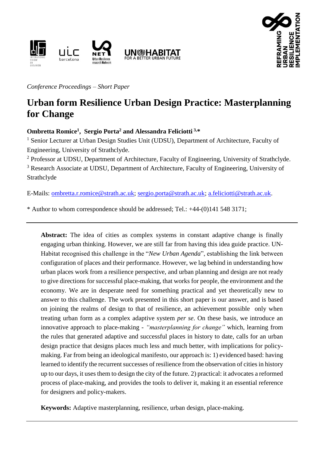



*Conference Proceedings – Short Paper*

# **Urban form Resilience Urban Design Practice: Masterplanning for Change**

**Ombretta Romice<sup>1</sup> , Sergio Porta<sup>2</sup> and Alessandra Feliciotti 3,\***

<sup>1</sup> Senior Lecturer at Urban Design Studies Unit (UDSU), Department of Architecture, Faculty of Engineering, University of Strathclyde.

<sup>2</sup> Professor at UDSU, Department of Architecture, Faculty of Engineering, University of Strathclyde.

<sup>3</sup> Research Associate at UDSU, Department of Architecture, Faculty of Engineering, University of Strathclyde

E-Mails: [ombretta.r.romice@strath.ac.uk;](mailto:ombretta.r.romice@strath.ac.uk) [sergio.porta@strath.ac.uk;](mailto:sergio.porta@strath.ac.uk) [a.feliciotti@strath.ac.uk.](mailto:a.feliciotti@strath.ac.uk)

\* Author to whom correspondence should be addressed; Tel.: +44-(0)141 548 3171;

Abstract: The idea of cities as complex systems in constant adaptive change is finally engaging urban thinking. However, we are still far from having this idea guide practice. UN-Habitat recognised this challenge in the "*New Urban Agenda*", establishing the link between configuration of places and their performance. However, we lag behind in understanding how urban places work from a resilience perspective, and urban planning and design are not ready to give directions for successful place-making, that works for people, the environment and the economy. We are in desperate need for something practical and yet theoretically new to answer to this challenge. The work presented in this short paper is our answer, and is based on joining the realms of design to that of resilience, an achievement possible only when treating urban form as a complex adaptive system *per se*. On these basis, we introduce an innovative approach to place-making - *"masterplanning for change"* which, learning from the rules that generated adaptive and successful places in history to date, calls for an urban design practice that designs places much less and much better, with implications for policymaking. Far from being an ideological manifesto, our approach is: 1) evidenced based: having learned to identify the recurrent successes of resilience from the observation of cities in history up to our days, it uses them to design the city of the future. 2) practical: it advocates a reformed process of place-making, and provides the tools to deliver it, making it an essential reference for designers and policy-makers.

**Keywords:** Adaptive masterplanning, resilience, urban design, place-making.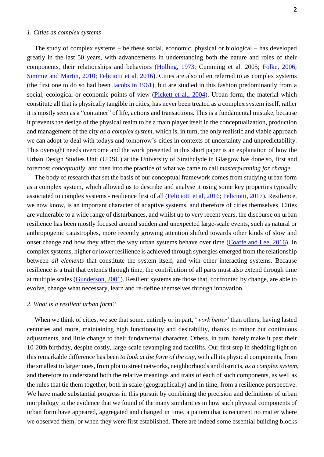The study of complex systems – be these social, economic, physical or biological – has developed greatly in the last 50 years, with advancements in understanding both the nature and roles of their components, their relationships and behaviors [\(Holling, 1973;](https://www.annualreviews.org/doi/pdf/10.1146/annurev.es.04.110173.000245) Cumming et al. 2005; [Folke, 2006;](https://www.sciencedirect.com/science/article/pii/S0959378006000379) [Simmie and Martin, 2010;](https://academic.oup.com/cjres/article/3/1/27/339274) [Feliciotti et al, 2016\)](http://www.openhouse-int.com/abdisplay.php?xvolno=41_4_3). Cities are also often referred to as complex systems (the first one to do so had been [Jacobs in 1961\)](http://gotham08.mapsites.net/Docs/JacobsKindOfProblem.pdf), but are studied in this fashion predominantly from a social, ecological or economic points of view [\(Pickett et al., 2004\)](https://www.sciencedirect.com/science/article/pii/S0169204603002524). Urban form, the material which constitute all that is physically tangible in cities, has never been treated as a complex system itself, rather it is mostly seen as a "container" of life, actions and transactions. This is a fundamental mistake, because it prevents the design of the physical realm to be a main player itself in the conceptualization, production and management of the city *as a complex system*, which is, in turn, the only realistic and viable approach we can adopt to deal with todays and tomorrow's cities in contexts of uncertainty and unpredictability. This oversight needs overcome and the work presented in this short paper is an explanation of how the Urban Design Studies Unit (UDSU) at the University of Strathclyde in Glasgow has done so, first and foremost *conceptually*, and then into the practice of what we came to call *masterplanning for change*.

The body of research that set the basis of our conceptual framework comes from studying urban form as a complex system, which allowed us to describe and analyse it using some key properties typically associated to complex systems - resilience first of all [\(Feliciotti et al, 2016;](http://www.openhouse-int.com/abdisplay.php?xvolno=41_4_3) [Feliciotti, 2017\)](http://www.urbanform.org/online/pdf2017/201721_61.pdf). Resilience, we now know, is an important character of adaptive systems, and therefore of cities themselves. Cities are vulnerable to a wide range of disturbances, and whilst up to very recent years, the discourse on urban resilience has been mostly focused around sudden and unexpected large-scale events, such as natural or anthropogenic catastrophes, more recently growing attention shifted towards other kinds of slow and onset change and how they affect the way urban systems behave over time [\(Coaffe and Lee, 2016\)](https://books.google.co.uk/books?hl=en&lr=&id=FPU6DAAAQBAJ&oi=fnd&pg=PP1&dq=Urban+Resilience:+Planning+for+Risk,+Crisis+and+Uncertainty&ots=Wv_aQWSXts&sig=WlY_Aq3hIUIv7FIh8SacyQhUHEc#v=onepage&q=Urban%20Resilience%3A%20Planning%20for%20Risk%2C%20Crisis%20and%20Uncertainty&f=false). In complex systems, higher or lower resilience is achieved through synergies emerged from the relationship between *all elements* that constitute the system itself, and with other interacting systems. Because resilience is a trait that extends through time, the contribution of all parts must also extend through time at multiple scales [\(Gunderson, 2001\)](https://books.google.co.uk/books?hl=en&lr=&id=o4u89akUhJMC&oi=fnd&pg=PR7&dq=adaptive+cycle+and+panarchy&ots=ee3zdqkSXH&sig=QB6nWNB1H5Eld8zI3LoeWG0zJ70#v=onepage&q=adaptive%20cycle%20and%20panarchy&f=false). Resilient systems are those that, confronted by change, are able to evolve, change what necessary, learn and re-define themselves through innovation.

#### *2. What is a resilient urban form?*

When we think of cities, we see that some, entirely or in part, '*work better'* than others, having lasted centuries and more, maintaining high functionality and desirability, thanks to minor but continuous adjustments, and little change to their fundamental character. Others, in turn, barely make it past their 10-20th birthday, despite costly, large-scale revamping and facelifts. Our first step in shedding light on this remarkable difference has been *to look at the form of the city*, with all its physical components, from the smallest to larger ones, from plot to street networks, neighborhoods and districts, *as a complex system*, and therefore to understand both the relative meanings and traits of each of such components, as well as the rules that tie them together, both in scale (geographically) and in time, from a resilience perspective. We have made substantial progress in this pursuit by combining the precision and definitions of urban morphology to the evidence that we found of the many similarities in how such physical components of urban form have appeared, aggregated and changed in time, a pattern that is recurrent no matter where we observed them, or when they were first established. There are indeed some essential building blocks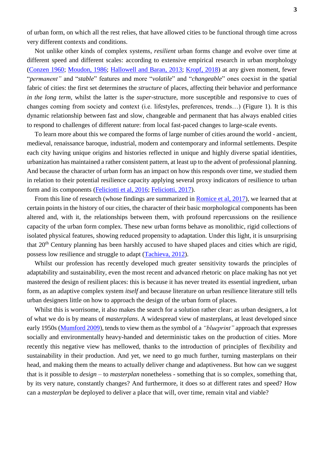of urban form, on which all the rest relies, that have allowed cities to be functional through time across very different contexts and conditions.

Not unlike other kinds of complex systems, *resilient* urban forms change and evolve over time at different speed and different scales: according to extensive empirical research in urban morphology [\(Conzen 1960;](https://www.jstor.org/stable/621094?casa_token=RVwXlG3vPioAAAAA:3q9KC-uxXdKFQJjeX0tOzzA6RdgLnnt2KxIvF8sEoFi6SQDhgSNZTp1F2dwfBSD3Zav2DUxjl5zm3ZRy2rpeFyxdQ3OVB6SA03PxAloVWbD4ke85rSE&seq=1#metadata_info_tab_contents) [Moudon, 1986;](https://books.google.co.uk/books/about/Built_for_Change.html?id=ifJkQgAACAAJ&redir_esc=y) [Hallowell and Baran,](http://joss.bartlett.ucl.ac.uk/journal/index.php/joss/article/view/163) 2013; [Kropf, 2018\)](https://books.google.co.uk/books?hl=en&lr=&id=Glw6DwAAQBAJ&oi=fnd&pg=PA14&dq=The+Handbook+of+Urban+Morphology&ots=DJJt2fLEjh&sig=-Sk4m4-iOtTeGeSONUDoqUmQjPQ#v=onepage&q=The%20Handbook%20of%20Urban%20Morphology&f=false) at any given moment, fewer "*permanent"* and "*stable*" features and more "*volatile*" and "*changeable*" ones coexist in the spatial fabric of cities: the first set determines the *structure* of places, affecting their behavior and performance *in the long term*, whilst the latter is the *super-*structure, more susceptible and responsive to cues of changes coming from society and context (i.e. lifestyles, preferences, trends…) (Figure 1). It is this dynamic relationship between fast and slow, changeable and permanent that has always enabled cities to respond to challenges of different nature: from local fast-paced changes to large-scale events.

To learn more about this we compared the forms of large number of cities around the world - ancient, medieval, renaissance baroque, industrial, modern and contemporary and informal settlements. Despite each city having unique origins and histories reflected in unique and highly diverse spatial identities, urbanization has maintained a rather consistent pattern, at least up to the advent of professional planning. And because the character of urban form has an impact on how this responds over time, we studied them in relation to their potential resilience capacity applying several proxy indicators of resilience to urban form and its components [\(Feliciotti et al, 2016;](http://www.openhouse-int.com/abdisplay.php?xvolno=41_4_3) [Feliciotti, 2017\)](http://www.urbanform.org/online/pdf2017/201721_61.pdf).

From this line of research (whose findings are summarized in [Romice et al, 2017\)](https://journal.fi/architecturalresearchfinland/article/view/68792), we learned that at certain points in the history of our cities, the character of their basic morphological components has been altered and, with it, the relationships between them, with profound repercussions on the resilience capacity of the urban form complex. These new urban forms behave as monolithic, rigid collections of isolated physical features, showing reduced propensity to adaptation. Under this light, it is unsurprising that 20<sup>th</sup> Century planning has been harshly accused to have shaped places and cities which are rigid, possess low resilience and struggle to adapt [\(Tachieva,](https://islandpress.org/books/sprawl-repair-manual) 2012).

Whilst our profession has recently developed much greater sensitivity towards the principles of adaptability and sustainability, even the most recent and advanced rhetoric on place making has not yet mastered the design of resilient places: this is because it has never treated its essential ingredient, urban form, as an adaptive complex system *itself* and because literature on urban resilience literature still tells urban designers little on how to approach the design of the urban form of places.

Whilst this is worrisome, it also makes the search for a solution rather clear: as urban designers, a lot of what we do is by means of *masterplans*. A widespread view of masterplans, at least developed since early 1950s [\(Mumford 2009\)](https://yalebooks.co.uk/display.asp?k=9780300138887), tends to view them as the symbol of a *"blueprint"* approach that expresses socially and environmentally heavy-handed and deterministic takes on the production of cities. More recently this negative view has mellowed, thanks to the introduction of principles of flexibility and sustainability in their production. And yet, we need to go much further, turning masterplans on their head, and making them the means to actually deliver change and adaptiveness. But how can we suggest that is it possible to *design* – to *masterplan* nonetheless - something that is so complex, something that, by its very nature, constantly changes? And furthermore, it does so at different rates and speed? How can a *masterplan* be deployed to deliver a place that will, over time, remain vital and viable?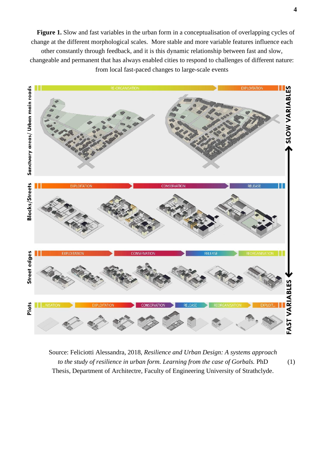**Figure 1.** Slow and fast variables in the urban form in a conceptualisation of overlapping cycles of change at the different morphological scales. More stable and more variable features influence each other constantly through feedback, and it is this dynamic relationship between fast and slow, changeable and permanent that has always enabled cities to respond to challenges of different nature: from local fast-paced changes to large-scale events



Source: Feliciotti Alessandra, 2018, *Resilience and Urban Design: A systems approach to the study of resilience in urban form. Learning from the case of Gorbals.* PhD Thesis, Department of Architectre, Faculty of Engineering University of Strathclyde. (1)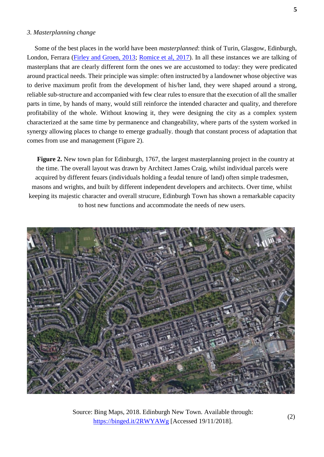### *3. Masterplanning change*

Some of the best places in the world have been *masterplanned*: think of Turin, Glasgow, Edinburgh, London, Ferrara [\(Firley and Groen, 2013;](https://www.wiley.com/en-gb/The+Urban+Masterplanning+Handbook-p-9780470972250) [Romice et al, 2017\)](https://journal.fi/architecturalresearchfinland/article/view/68792). In all these instances we are talking of masterplans that are clearly different form the ones we are accustomed to today: they were predicated around practical needs. Their principle was simple: often instructed by a landowner whose objective was to derive maximum profit from the development of his/her land, they were shaped around a strong, reliable sub-structure and accompanied with few clear rules to ensure that the execution of all the smaller parts in time, by hands of many, would still reinforce the intended character and quality, and therefore profitability of the whole. Without knowing it, they were designing the city as a complex system characterized at the same time by permanence and changeability, where parts of the system worked in synergy allowing places to change to emerge gradually. though that constant process of adaptation that comes from use and management (Figure 2).

**Figure 2.** New town plan for Edinburgh, 1767, the largest masterplanning project in the country at the time. The overall layout was drawn by Architect James Craig, whilst individual parcels were acquired by different feuars (individuals holding a feudal tenure of land) often simple tradesmen, masons and wrights, and built by different independent developers and architects. Over time, whilst keeping its majestic character and overall strucure, Edinburgh Town has shown a remarkable capacity to host new functions and accommodate the needs of new users.



Source: Bing Maps, 2018. Edinburgh New Town. Available through: <https://binged.it/2RWYAWg> [Accessed 19/11/2018].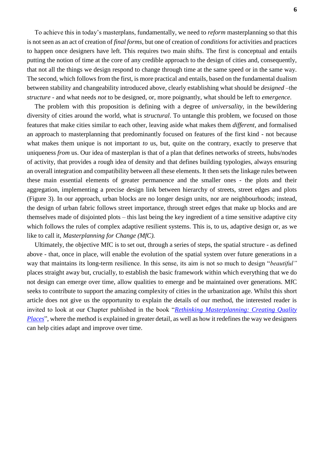To achieve this in today's masterplans, fundamentally, we need to *reform* masterplanning so that this is not seen as an act of creation of *final forms*, but one of creation of *conditions* for activities and practices to happen once designers have left. This requires two main shifts. The first is conceptual and entails putting the notion of time at the core of any credible approach to the design of cities and, consequently, that not all the things we design respond to change through time at the same speed or in the same way. The second, which follows from the first, is more practical and entails, based on the fundamental dualism between stability and changeability introduced above, clearly establishing what should be *designed* –the *structure* - and what needs *not* to be designed, or, more poignantly, what should be left to *emergence.*

The problem with this proposition is defining with a degree of *universality*, in the bewildering diversity of cities around the world, what is *structural*. To untangle this problem, we focused on those features that make cities similar to each other, leaving aside what makes them *different,* and formalised an approach to masterplanning that predominantly focused on features of the first kind - not because what makes them unique is not important *to* us, but, quite on the contrary, exactly to preserve that uniqueness *from* us. Our idea of masterplan is that of a plan that defines networks of streets, hubs/nodes of activity, that provides a rough idea of density and that defines building typologies, always ensuring an overall integration and compatibility between all these elements. It then sets the linkage rules between these main essential elements of greater permanence and the smaller ones - the plots and their aggregation, implementing a precise design link between hierarchy of streets, street edges and plots (Figure 3). In our approach, urban blocks are no longer design units, nor are neighbourhoods; instead, the design of urban fabric follows street importance, through street edges that make up blocks and are themselves made of disjointed plots – this last being the key ingredient of a time sensitive adaptive city which follows the rules of complex adaptive resilient systems. This is, to us, adaptive design or, as we like to call it, *Masterplanning for Change (MfC).*

Ultimately, the objective MfC is to set out, through a series of steps, the spatial structure - as defined above - that, once in place, will enable the evolution of the spatial system over future generations in a way that maintains its long-term resilience. In this sense, its aim is not so much to design "*beautiful"*  places straight away but, crucially, to establish the basic framework within which everything that we do not design can emerge over time, allow qualities to emerge and be maintained over generations. MfC seeks to contribute to support the amazing complexity of cities in the urbanization age. Whilst this short article does not give us the opportunity to explain the details of our method, the interested reader is invited to look at our Chapter published in the book "*[Rethinking Masterplanning: Creating Quality](https://www.icevirtuallibrary.com/doi/book/10.1680/prmp.60715)  [Places](https://www.icevirtuallibrary.com/doi/book/10.1680/prmp.60715)*", where the method is explained in greater detail, as well as how it redefines the way we designers can help cities adapt and improve over time.